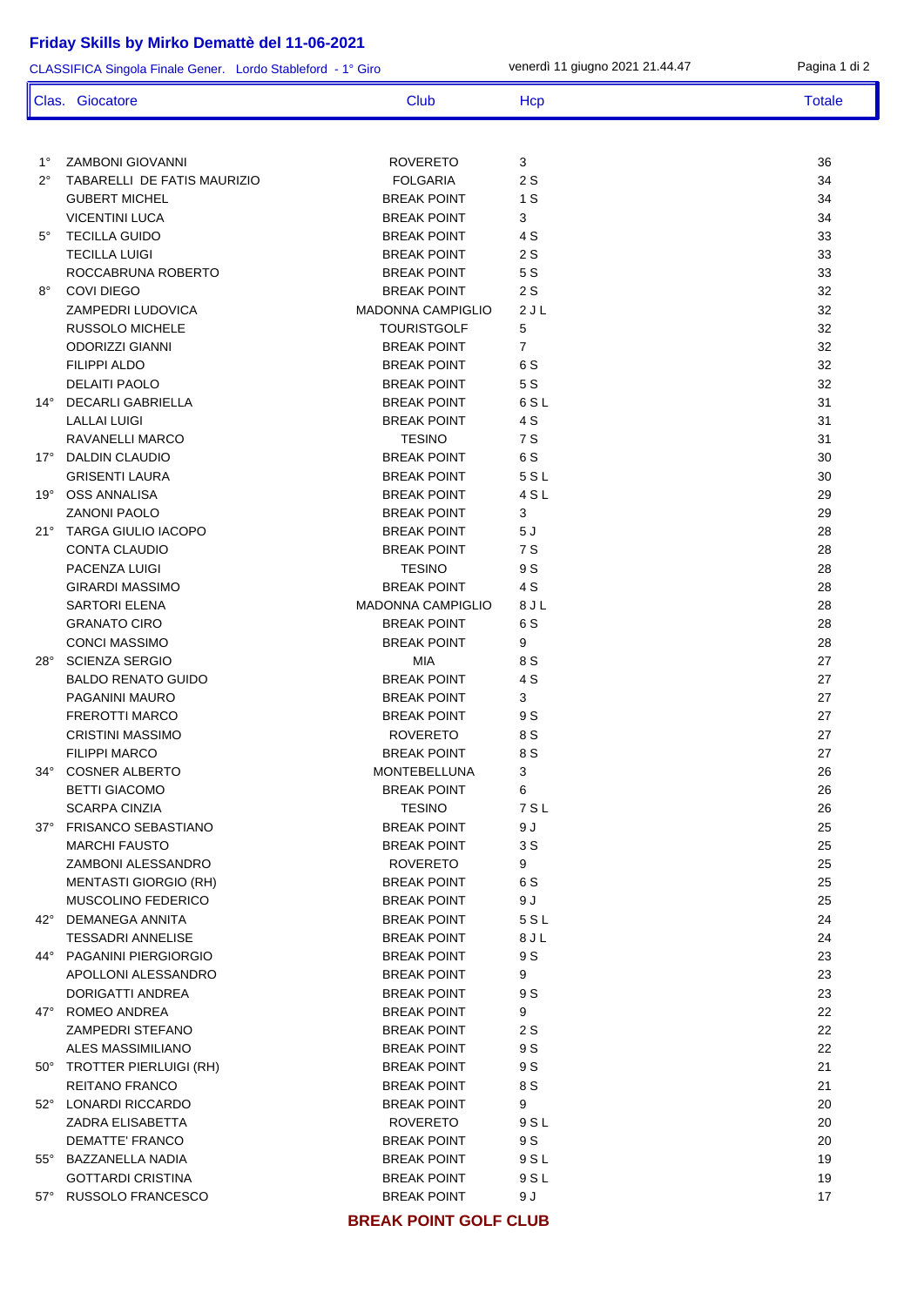## **Friday Skills by Mirko Demattè del 11-06-2021**

1° ZAMBONI GIOVANNI ROVERETO 3 36 2° TABARELLI DE FATIS MAURIZIO FOLGARIA 2 S 34 GUBERT MICHEL **8 A. A. A. A. A. A. A. A. BREAK POINT** 1 S 34 VICENTINI LUCA 34 5° TECILLA GUIDO BREAK POINT 4 S 33 TECILLA LUIGI BREAK POINT 2 S 33 ROCCABRUNA ROBERTO BREAK POINT 5 S 33 8° COVI DIEGO BREAK POINT 2 S 32 ZAMPEDRI LUDOVICA MADONNA CAMPIGLIO 2 J L 32 RUSSOLO MICHELE **TOURISTGOLF** 5 32 ODORIZZI GIANNI BREAK POINT 7 32 FILIPPI ALDO BREAK POINT 6 S 32 **DELAITI PAOLO** 32 14° DECARLI GABRIELLA BREAK POINT 6 S L 31 LALLAI LUIGI BREAK POINT 4 S 31 RAVANELLI MARCO TESINO 7 S 31 17° DALDIN CLAUDIO BREAK POINT 6 S 30 GRISENTI LAURA BREAK POINT 5 S L 30 19° OSS ANNALISA BREAK POINT 4 S L 29 ZANONI PAOLO BREAK POINT 3 29 21° TARGA GIULIO IACOPO BREAK POINT 5 J 28 CONTA CLAUDIO **BREAK POINT** 7 S 28 PACENZA LUIGI TESINO 9 S 28 GIRARDI MASSIMO BREAK POINT 4 S 28 SARTORI ELENA MADONNA CAMPIGLIO 8 J L 28 GRANATO CIRO BREAK POINT 6 S 28 CONCI MASSIMO 28 28° SCIENZA SERGIO MIA 8 S 27 BALDO RENATO GUIDO AND BREAK POINT A SALDO RENATO GUIDO 27 PAGANINI MAURO BREAK POINT 3 27 FREROTTI MARCO BREAK POINT 9 S 27 CRISTINI MASSIMO ROVERETO 8 S 27 FILIPPI MARCO BREAK POINT 8 S 27 34° COSNER ALBERTO MONTEBELLUNA 3 26 BETTI GIACOMO BREAK POINT 6 26 SCARPA CINZIA 26 NOVEMBER 2012 12:30 NOVEMBER 2012 12:30 NOVEMBER 2012 12:30 NOVEMBER 2013 37° FRISANCO SEBASTIANO BREAK POINT 9 J 25 MARCHI FAUSTO BREAK POINT 3 S 25 ZAMBONI ALESSANDRO ROVERETO 9 25 MENTASTI GIORGIO (RH) BREAK POINT 6 S 25 MUSCOLINO FEDERICO BREAK POINT 9 J 25 42° DEMANEGA ANNITA BREAK POINT 5 S L 24 TESSADRI ANNELISE BREAK POINT 8 J L 24 44° PAGANINI PIERGIORGIO BREAK POINT 9 S 23 APOLLONI ALESSANDRO BREAK POINT 9 23 DORIGATTI ANDREA 23 47° ROMEO ANDREA BREAK POINT 9 22 ZAMPEDRI STEFANO BREAK POINT 2 S 22 ALES MASSIMILIANO BREAK POINT 9 S 22 50° TROTTER PIERLUIGI (RH) BREAK POINT 9S 21 REITANO FRANCO BREAK POINT 8 S 21 52° LONARDI RICCARDO BREAK POINT 9 20 ZADRA ELISABETTA ROVERETO 9 S L 20 DEMATTE' FRANCO BREAK POINT 9 S 20 55° BAZZANELLA NADIA BREAK POINT 9 S L 19 GOTTARDI CRISTINA BREAK POINT 9 S L 19 57° RUSSOLO FRANCESCO BREAK POINT 9 J 17 CLASSIFICA Singola Finale Gener. Lordo Stableford - 1° Giro venerdì 11 giugno 2021 21.44.47 Pagina 1 di 2 Clas. Giocatore Club Club Hcp Hcp Totale

**BREAK POINT GOLF CLUB**